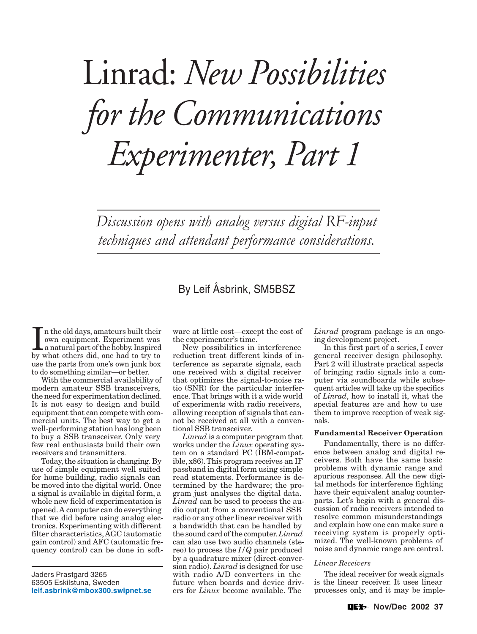# Linrad: *New Possibilities for the Communications Experimenter, Part 1*

Discussion opens with analog versus digital RF-input techniques and attendant performance considerations.

# By Leif Åsbrink, SM5BSZ

In the old days, amateurs built their<br>own equipment. Experiment was<br>a natural part of the hobby. Inspired<br>by what others did, one had to try to n the old days, amateurs built their own equipment. Experiment was a natural part of the hobby. Inspired use the parts from one's own junk box to do something similar—or better.

With the commercial availability of modern amateur SSB transceivers, the need for experimentation declined. It is not easy to design and build equipment that can compete with commercial units. The best way to get a well-performing station has long been to buy a SSB transceiver. Only very few real enthusiasts build their own receivers and transmitters.

Today, the situation is changing. By use of simple equipment well suited for home building, radio signals can be moved into the digital world. Once a signal is available in digital form, a whole new field of experimentation is opened. A computer can do everything that we did before using analog electronics. Experimenting with different filter characteristics, AGC (automatic gain control) and AFC (automatic frequency control) can be done in soft-

Jaders Prastgard 3265 63505 Eskilstuna, Sweden **[leif.asbrink@mbox300.swipnet.se](mailto:leif.asbrink@mbox300.swipnet.se)** ware at little cost—except the cost of the experimenter's time.

New possibilities in interference reduction treat different kinds of interference as separate signals, each one received with a digital receiver that optimizes the signal-to-noise ratio (SNR) for the particular interference. That brings with it a wide world of experiments with radio receivers, allowing reception of signals that cannot be received at all with a conventional SSB transceiver.

*Linrad* is a computer program that works under the *Linux* operating system on a standard PC (IBM-compatible, x86). This program receives an IF passband in digital form using simple read statements. Performance is determined by the hardware; the program just analyses the digital data. *Linrad* can be used to process the audio output from a conventional SSB radio or any other linear receiver with a bandwidth that can be handled by the sound card of the computer. *Linrad* can also use two audio channels (stereo) to process the *I/Q* pair produced by a quadrature mixer (direct-conversion radio). *Linrad* is designed for use with radio A/D converters in the future when boards and device drivers for *Linux* become available. The

*Linrad* program package is an ongoing development project.

In this first part of a series, I cover general receiver design philosophy. Part 2 will illustrate practical aspects of bringing radio signals into a computer via soundboards while subsequent articles will take up the specifics of *Linrad*, how to install it, what the special features are and how to use them to improve reception of weak signals.

# **Fundamental Receiver Operation**

Fundamentally, there is no difference between analog and digital receivers. Both have the same basic problems with dynamic range and spurious responses. All the new digital methods for interference fighting have their equivalent analog counterparts. Let's begin with a general discussion of radio receivers intended to resolve common misunderstandings and explain how one can make sure a receiving system is properly optimized. The well-known problems of noise and dynamic range are central.

# *Linear Receivers*

The ideal receiver for weak signals is the linear receiver. It uses linear processes only, and it may be imple-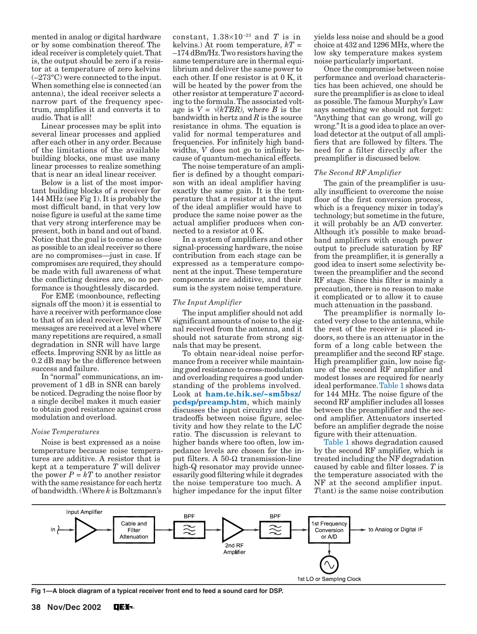mented in analog or digital hardware or by some combination thereof. The ideal receiver is completely quiet. That is, the output should be zero if a resistor at a temperature of zero kelvins  $(-273^{\circ}C)$  were connected to the input. When something else is connected (an antenna), the ideal receiver selects a narrow part of the frequency spectrum, amplifies it and converts it to audio. That is all!

Linear processes may be split into several linear processes and applied after each other in any order. Because of the limitations of the available building blocks, one must use many linear processes to realize something that is near an ideal linear receiver.

Below is a list of the most important building blocks of a receiver for 144 MHz (see Fig 1). It is probably the most difficult band, in that very low noise figure is useful at the same time that very strong interference may be present, both in band and out of band. Notice that the goal is to come as close as possible to an ideal receiver so there are no compromises—just in case. If compromises are required, they should be made with full awareness of what the conflicting desires are, so no performance is thoughtlessly discarded.

For EME (moonbounce, reflecting signals off the moon) it is essential to have a receiver with performance close to that of an ideal receiver. When CW messages are received at a level where many repetitions are required, a small degradation in SNR will have large effects. Improving SNR by as little as 0.2 dB may be the difference between success and failure.

In "normal" communications, an improvement of 1 dB in SNR can barely be noticed. Degrading the noise floor by a single decibel makes it much easier to obtain good resistance against cross modulation and overload.

#### *Noise Temperatures*

Noise is best expressed as a noise temperature because noise temperatures are additive. A resistor that is kept at a temperature *T* will deliver the power  $P = kT$  to another resistor with the same resistance for each hertz of bandwidth. (Where *k* is Boltzmann's

constant,  $1.38\times10^{-23}$  and *T* is in kelvins.) At room temperature, *kT* = –174 dBm/Hz. Two resistors having the same temperature are in thermal equilibrium and deliver the same power to each other. If one resistor is at 0 K, it will be heated by the power from the other resistor at temperature *T* according to the formula. The associated voltage is  $V = \sqrt{kTBR}$ , where *B* is the bandwidth in hertz and *R* is the source resistance in ohms. The equation is valid for normal temperatures and frequencies. For infinitely high bandwidths, *V* does not go to infinity because of quantum-mechanical effects.

The noise temperature of an amplifier is defined by a thought comparison with an ideal amplifier having exactly the same gain. It is the temperature that a resistor at the input of the ideal amplifier would have to produce the same noise power as the actual amplifier produces when connected to a resistor at 0 K.

In a system of amplifiers and other signal-processing hardware, the noise contribution from each stage can be expressed as a temperature component at the input. These temperature components are additive, and their sum is the system noise temperature.

#### *The Input Amplifier*

The input amplifier should not add significant amounts of noise to the signal received from the antenna, and it should not saturate from strong signals that may be present.

To obtain near-ideal noise performance from a receiver while maintaining good resistance to cross-modulation and overloading requires a good understanding of the problems involved. Look at **[ham.te.hik.se/~sm5bsz/](http://ham.te.hik.se/~sm5bsz/pcdsp/preamp.htm) [pcdsp/preamp.htm](http://ham.te.hik.se/~sm5bsz/pcdsp/preamp.htm)**, which mainly discusses the input circuitry and the tradeoffs between noise figure, selectivity and how they relate to the L/C ratio. The discussion is relevant to higher bands where too often, low impedance levels are chosen for the input filters. A 50-Ω transmission-line high-Q resonator may provide unnecessarily good filtering while it degrades the noise temperature too much. A higher impedance for the input filter

yields less noise and should be a good choice at 432 and 1296 MHz, where the low sky temperature makes system noise particularly important.

Once the compromise between noise performance and overload characteristics has been achieved, one should be sure the preamplifier is as close to ideal as possible. The famous Murphy's Law says something we should not forget: "Anything that can go wrong, will go wrong." It is a good idea to place an overload detector at the output of all amplifiers that are followed by filters. The need for a filter directly after the preamplifier is discussed below.

#### *The Second RF Amplifier*

The gain of the preamplifier is usually insufficient to overcome the noise floor of the first conversion process, which is a frequency mixer in today's technology; but sometime in the future, it will probably be an A/D converter. Although it's possible to make broadband amplifiers with enough power output to preclude saturation by RF from the preamplifier, it is generally a good idea to insert some selectivity between the preamplifier and the second RF stage. Since this filter is mainly a precaution, there is no reason to make it complicated or to allow it to cause much attenuation in the passband.

The preamplifier is normally located very close to the antenna, while the rest of the receiver is placed indoors, so there is an attenuator in the form of a long cable between the preamplifier and the second RF stage. High preamplifier gain, low noise figure of the second RF amplifier and modest losses are required for nearly ideal performance. [Table 1](#page-2-0) shows data for 144 MHz. The noise figure of the second RF amplifier includes all losses between the preamplifier and the second amplifier. Attenuators inserted before an amplifier degrade the noise figure with their attenuation.

[Table 1 s](#page-2-0)hows degradation caused by the second RF amplifier, which is treated including the NF degradation caused by cable and filter losses. *T* is the temperature associated with the NF at the second amplifier input. *T*(ant) is the same noise contribution



**Fig 1—A block diagram of a typical receiver front end to feed a sound card for DSP.**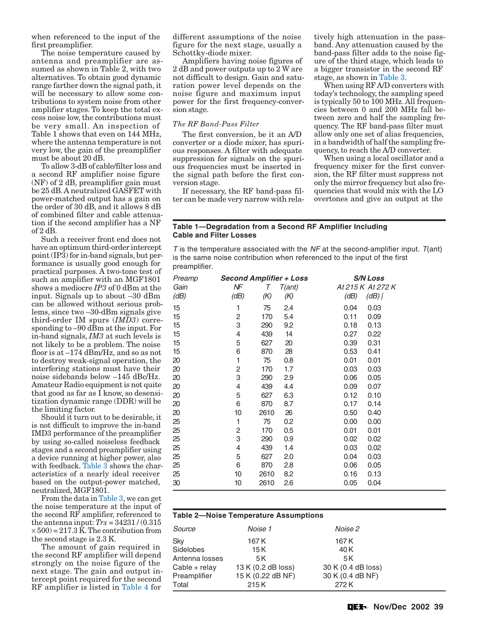<span id="page-2-0"></span>when referenced to the input of the first preamplifier.

The noise temperature caused by antenna and preamplifier are assumed as shown in Table 2, with two alternatives. To obtain good dynamic range farther down the signal path, it will be necessary to allow some contributions to system noise from other amplifier stages. To keep the total excess noise low, the contributions must be very small. An inspection of Table 1 shows that even on 144 MHz, where the antenna temperature is not very low, the gain of the preamplifier must be about 20 dB.

To allow 3-dB of cable/filter loss and a second RF amplifier noise figure (NF) of 2 dB, preamplifier gain must be 25 dB. A neutralized GASFET with power-matched output has a gain on the order of 30 dB, and it allows 8 dB of combined filter and cable attenuation if the second amplifier has a NF of 2 dB.

Such a receiver front end does not have an optimum third-order intercept point (IP3) for in-band signals, but performance is usually good enough for practical purposes. A two-tone test of such an amplifier with an MGF1801 shows a mediocre *IP3* of 0 dBm at the input. Signals up to about –30 dBm can be allowed without serious problems, since two –30-dBm signals give third-order IM spurs (*IMD3*) corresponding to –90 dBm at the input. For in-band signals, *IM3* at such levels is not likely to be a problem. The noise floor is at –174 dBm/Hz, and so as not to destroy weak-signal operation, the interfering stations must have their noise sidebands below –145 dBc/Hz. Amateur Radio equipment is not quite that good as far as I know, so desensitization dynamic range (DDR) will be the limiting factor.

Should it turn out to be desirable, it is not difficult to improve the in-band IMD3 performance of the preamplifier by using so-called noiseless feedback stages and a second preamplifier using a device running at higher power, also with feedback. [Table 3](#page-3-0) shows the characteristics of a nearly ideal receiver based on the output-power matched, neutralized, MGF1801.

From the data in [Table 3,](#page-3-0) we can get the noise temperature at the input of the second RF amplifier, referenced to the antenna input:  $Trx = 34231/(0.315)$  $\times$  500) = 217.3 K. The contribution from the second stage is 2.3 K.

The amount of gain required in the second RF amplifier will depend strongly on the noise figure of the next stage. The gain and output intercept point required for the second RF amplifier is listed in [Table 4 f](#page-3-0)or

different assumptions of the noise figure for the next stage, usually a Schottky-diode mixer.

Amplifiers having noise figures of 2 dB and power outputs up to 2 W are not difficult to design. Gain and saturation power level depends on the noise figure and maximum input power for the first frequency-conversion stage.

# *The RF Band-Pass Filter*

The first conversion, be it an A/D converter or a diode mixer, has spurious responses. A filter with adequate suppression for signals on the spurious frequencies must be inserted in the signal path before the first conversion stage.

If necessary, the RF band-pass filter can be made very narrow with relatively high attenuation in the passband. Any attenuation caused by the band-pass filter adds to the noise figure of the third stage, which leads to a bigger transistor in the second RF stage, as shown in [Table 3.](#page-3-0)

When using RF A/D converters with today's technology, the sampling speed is typically 50 to 100 MHz. All frequencies between 0 and 200 MHz fall between zero and half the sampling frequency. The RF band-pass filter must allow only one set of alias frequencies, in a bandwidth of half the sampling frequency, to reach the A/D converter.

When using a local oscillator and a frequency mixer for the first conversion, the RF filter must suppress not only the mirror frequency but also frequencies that would mix with the LO overtones and give an output at the

#### **Table 1—Degradation from a Second RF Amplifier Including Cable and Filter Losses**

T is the temperature associated with the  $NF$  at the second-amplifier input.  $T($ ant) is the same noise contribution when referenced to the input of the first preamplifier.

| <b>Second Amplifier + Loss</b> |      |        | <b>S/N Loss</b>   |  |
|--------------------------------|------|--------|-------------------|--|
| ΝF                             | Τ    | T(ant) | At 215 K At 272 K |  |
| (dB)                           | (K)  | (K)    | (dB)<br>$(dB)$    |  |
| 1                              | 75   | 2.4    | 0.04<br>0.03      |  |
| $\overline{c}$                 | 170  | 5.4    | 0.11<br>0.09      |  |
| 3                              | 290  | 9.2    | 0.18<br>0.13      |  |
| 4                              | 439  | 14     | 0.27<br>0.22      |  |
| 5                              | 627  | 20     | 0.39<br>0.31      |  |
| 6                              | 870  | 28     | 0.53<br>0.41      |  |
| 1                              | 75   | 0.8    | 0.01<br>0.01      |  |
| 2                              | 170  | 1.7    | 0.03<br>0.03      |  |
| 3                              | 290  | 2.9    | 0.06<br>0.05      |  |
| 4                              | 439  | 4.4    | 0.09<br>0.07      |  |
| 5                              | 627  | 6.3    | 0.12<br>0.10      |  |
| 6                              | 870  | 8.7    | 0.17<br>0.14      |  |
| 10                             | 2610 | 26     | 0.50<br>0.40      |  |
| 1                              | 75   | 0.2    | 0.00<br>0.00      |  |
| 2                              | 170  | 0.5    | 0.01<br>0.01      |  |
| 3                              | 290  | 0.9    | 0.02<br>0.02      |  |
| 4                              | 439  | 1.4    | 0.03<br>0.02      |  |
| 5                              | 627  | 2.0    | 0.04<br>0.03      |  |
| 6                              | 870  | 2.8    | 0.06<br>0.05      |  |
| 10                             | 2610 | 8.2    | 0.16<br>0.13      |  |
| 10                             | 2610 | 2.6    | 0.05<br>0.04      |  |
|                                |      |        |                   |  |

# **Table 2—Noise Temperature Assumptions**

| Source         | Noise 1            | Noise 2            |
|----------------|--------------------|--------------------|
| Sky            | 167 K              | 167 K              |
| Sidelobes      | 15 K               | 40 K               |
| Antenna losses | 5 K                | 5K                 |
| Cable + relay  | 13 K (0.2 dB loss) | 30 K (0.4 dB loss) |
| Preamplifier   | 15 K (0.22 dB NF)  | 30 K (0.4 dB NF)   |
| Total          | 215K               | 272 K              |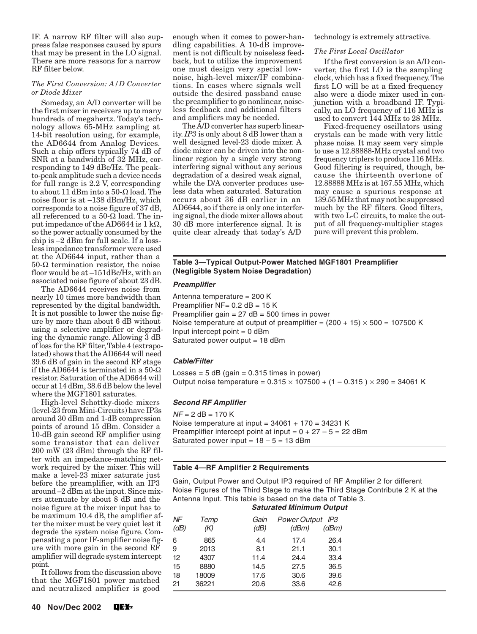<span id="page-3-0"></span>IF. A narrow RF filter will also suppress false responses caused by spurs that may be present in the LO signal. There are more reasons for a narrow RF filter below.

# *The First Conversion: A/D Converter or Diode Mixer*

Someday, an A/D converter will be the first mixer in receivers up to many hundreds of megahertz. Today's technology allows 65-MHz sampling at 14-bit resolution using, for example, the AD6644 from Analog Devices. Such a chip offers typically 74 dB of SNR at a bandwidth of 32 MHz, corresponding to 149 dBc/Hz. The peakto-peak amplitude such a device needs for full range is 2.2 V, corresponding to about 11 dBm into a 50-Ω load. The noise floor is at –138 dBm/Hz, which corresponds to a noise figure of 37 dB, all referenced to a 50- $\Omega$  load. The input impedance of the AD6644 is  $1 \text{ k}\Omega$ , so the power actually consumed by the chip is –2 dBm for full scale. If a lossless impedance transformer were used at the AD6644 input, rather than a 50-Ω termination resistor, the noise floor would be at –151dBc/Hz, with an associated noise figure of about 23 dB.

The AD6644 receives noise from nearly 10 times more bandwidth than represented by the digital bandwidth. It is not possible to lower the noise figure by more than about 6 dB without using a selective amplifier or degrading the dynamic range. Allowing 3 dB of loss for the RF filter, Table 4 (extrapolated) shows that the AD6644 will need 39.6 dB of gain in the second RF stage if the AD6644 is terminated in a 50- $\Omega$ resistor. Saturation of the AD6644 will occur at 14 dBm, 38.6 dB below the level where the MGF1801 saturates.

High-level Schottky-diode mixers (level-23 from Mini-Circuits) have IP3s around 30 dBm and 1-dB compression points of around 15 dBm. Consider a 10-dB gain second RF amplifier using some transistor that can deliver 200 mW (23 dBm) through the RF filter with an impedance-matching network required by the mixer. This will make a level-23 mixer saturate just before the preamplifier, with an IP3 around –2 dBm at the input. Since mixers attenuate by about 8 dB and the noise figure at the mixer input has to be maximum 10.4 dB, the amplifier after the mixer must be very quiet lest it degrade the system noise figure. Compensating a poor IF-amplifier noise figure with more gain in the second RF amplifier will degrade system intercept point.

It follows from the discussion above that the MGF1801 power matched and neutralized amplifier is good

enough when it comes to power-handling capabilities. A 10-dB improvement is not difficult by noiseless feedback, but to utilize the improvement one must design very special lownoise, high-level mixer/IF combinations. In cases where signals well outside the desired passband cause the preamplifier to go nonlinear, noiseless feedback and additional filters and amplifiers may be needed.

The A/D converter has superb linearity. *IP3* is only about 8 dB lower than a well designed level-23 diode mixer. A diode mixer can be driven into the nonlinear region by a single very strong interfering signal without any serious degradation of a desired weak signal, while the D/A converter produces useless data when saturated. Saturation occurs about 36 dB earlier in an AD6644, so if there is only one interfering signal, the diode mixer allows about 30 dB more interference signal. It is quite clear already that today's A/D

technology is extremely attractive.

# *The First Local Oscillator*

If the first conversion is an A/D converter, the first LO is the sampling clock, which has a fixed frequency. The first LO will be at a fixed frequency also were a diode mixer used in conjunction with a broadband IF. Typically, an LO frequency of 116 MHz is used to convert 144 MHz to 28 MHz.

Fixed-frequency oscillators using crystals can be made with very little phase noise. It may seem very simple to use a 12.88888-MHz crystal and two frequency triplers to produce 116 MHz. Good filtering is required, though, because the thirteenth overtone of 12.88888 MHz is at 167.55 MHz, which may cause a spurious response at 139.55 MHz that may not be suppressed much by the RF filters. Good filters, with two L-C circuits, to make the output of all frequency-multiplier stages pure will prevent this problem.

# **Table 3—Typical Output-Power Matched MGF1801 Preamplifier (Negligible System Noise Degradation)**

# **Preamplifier**

Antenna temperature = 200 K Preamplifier  $NF = 0.2$  dB = 15 K Preamplifier gain  $= 27$  dB  $= 500$  times in power Noise temperature at output of preamplifier =  $(200 + 15) \times 500 = 107500$  K Input intercept point  $= 0$  dBm Saturated power output = 18 dBm

# **Cable/Filter**

Losses =  $5$  dB (gain =  $0.315$  times in power) Output noise temperature =  $0.315 \times 107500 + (1 - 0.315) \times 290 = 34061$  K

# **Second RF Amplifier**

 $NF = 2$  dB = 170 K Noise temperature at input =  $34061 + 170 = 34231$  K Preamplifier intercept point at input =  $0 + 27 - 5 = 22$  dBm Saturated power input =  $18 - 5 = 13$  dBm

# **Table 4—RF Amplifier 2 Requirements**

Gain, Output Power and Output IP3 required of RF Amplifier 2 for different Noise Figures of the Third Stage to make the Third Stage Contribute 2 K at the Antenna Input. This table is based on the data of Table 3.

# **Saturated Minimum Output**

| NF   | Temp  | Gain | <b>Power Output</b><br>IP3 |       |  |
|------|-------|------|----------------------------|-------|--|
| (dB) | (K)   | (dB) | (dBm)                      | (dBm) |  |
| 6    | 865   | 4.4  | 17.4                       | 26.4  |  |
| 9    | 2013  | 8.1  | 21.1                       | 30.1  |  |
| 12   | 4307  | 11.4 | 24.4                       | 33.4  |  |
| 15   | 8880  | 14.5 | 27.5                       | 36.5  |  |
| 18   | 18009 | 17.6 | 30.6                       | 39.6  |  |
| 21   | 36221 | 20.6 | 33.6                       | 42.6  |  |